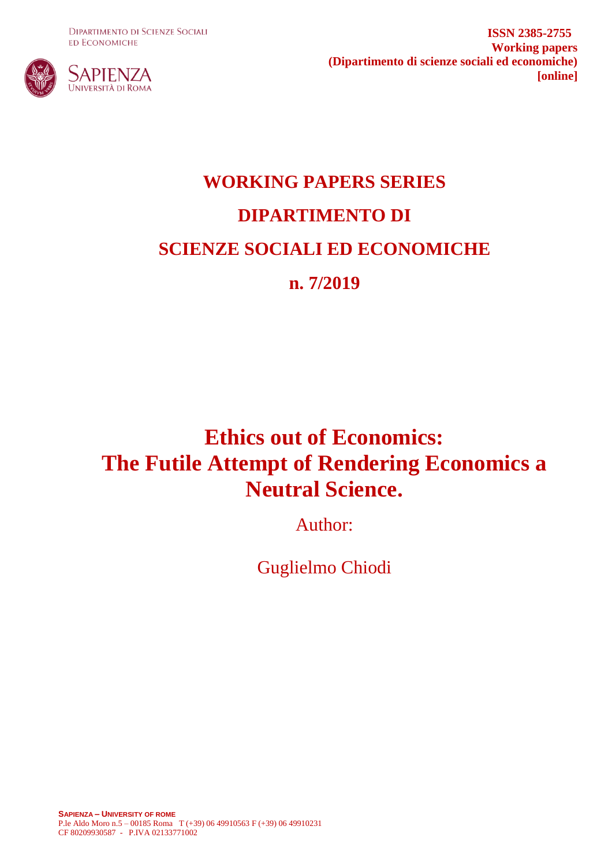**DIPARTIMENTO DI SCIENZE SOCIALI ED ECONOMICHE** 



**ISSN 2385-2755 Working papers (Dipartimento di scienze sociali ed economiche) [online]**

# **WORKING PAPERS SERIES DIPARTIMENTO DI SCIENZE SOCIALI ED ECONOMICHE n. 7/2019**

## **Ethics out of Economics: The Futile Attempt of Rendering Economics a Neutral Science.**

Author:

Guglielmo Chiodi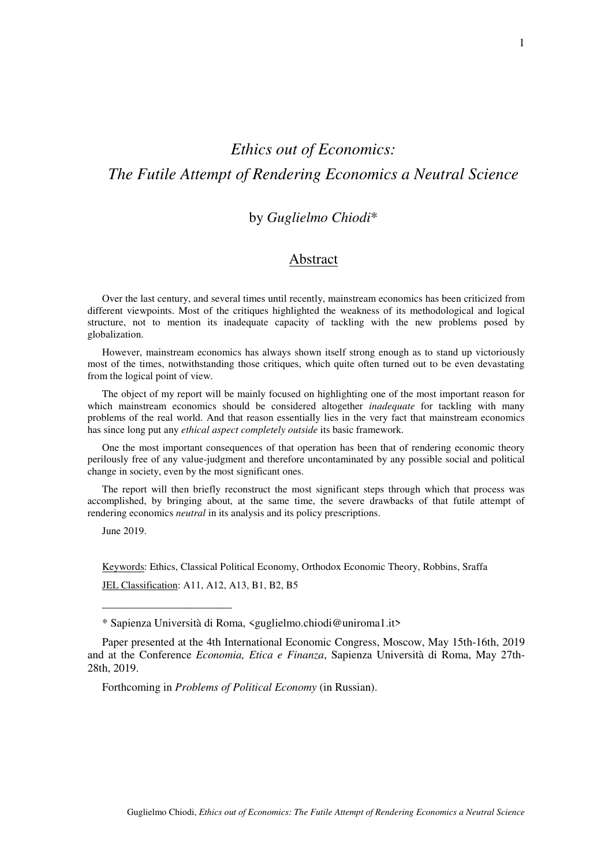## *Ethics out of Economics: The Futile Attempt of Rendering Economics a Neutral Science*

## by *Guglielmo Chiodi*\*

## Abstract

Over the last century, and several times until recently, mainstream economics has been criticized from different viewpoints. Most of the critiques highlighted the weakness of its methodological and logical structure, not to mention its inadequate capacity of tackling with the new problems posed by globalization.

However, mainstream economics has always shown itself strong enough as to stand up victoriously most of the times, notwithstanding those critiques, which quite often turned out to be even devastating from the logical point of view.

The object of my report will be mainly focused on highlighting one of the most important reason for which mainstream economics should be considered altogether *inadequate* for tackling with many problems of the real world. And that reason essentially lies in the very fact that mainstream economics has since long put any *ethical aspect completely outside* its basic framework.

One the most important consequences of that operation has been that of rendering economic theory perilously free of any value-judgment and therefore uncontaminated by any possible social and political change in society, even by the most significant ones.

The report will then briefly reconstruct the most significant steps through which that process was accomplished, by bringing about, at the same time, the severe drawbacks of that futile attempt of rendering economics *neutral* in its analysis and its policy prescriptions.

June 2019.

\_\_\_\_\_\_\_\_\_\_\_\_\_\_\_\_\_\_\_\_\_\_\_

Keywords: Ethics, Classical Political Economy, Orthodox Economic Theory, Robbins, Sraffa JEL Classification: A11, A12, A13, B1, B2, B5

Forthcoming in *Problems of Political Economy* (in Russian).

<sup>\*</sup> Sapienza Università di Roma, <guglielmo.chiodi@uniroma1.it>

Paper presented at the 4th International Economic Congress, Moscow, May 15th-16th, 2019 and at the Conference *Economia, Etica e Finanza*, Sapienza Università di Roma, May 27th-28th, 2019.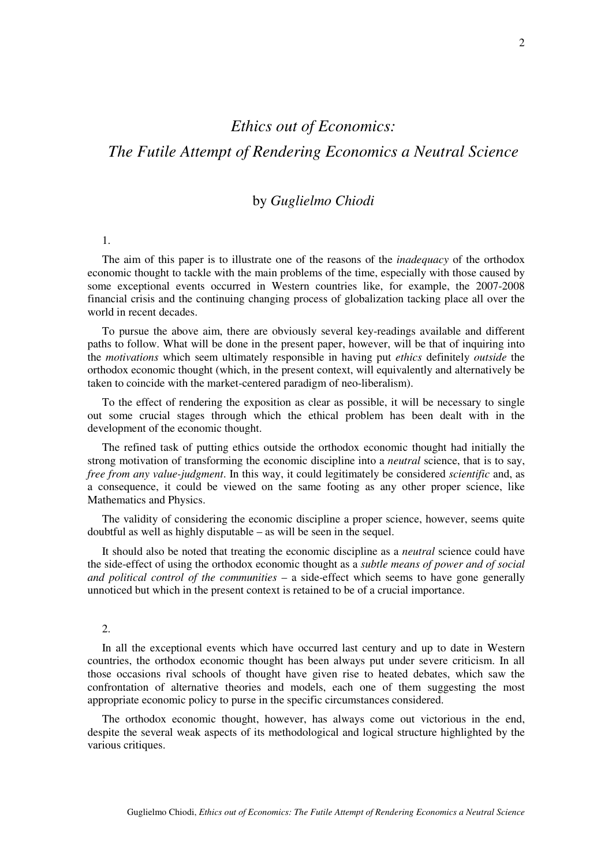## *Ethics out of Economics:*

## *The Futile Attempt of Rendering Economics a Neutral Science*

## by *Guglielmo Chiodi*

#### 1.

The aim of this paper is to illustrate one of the reasons of the *inadequacy* of the orthodox economic thought to tackle with the main problems of the time, especially with those caused by some exceptional events occurred in Western countries like, for example, the 2007-2008 financial crisis and the continuing changing process of globalization tacking place all over the world in recent decades.

To pursue the above aim, there are obviously several key-readings available and different paths to follow. What will be done in the present paper, however, will be that of inquiring into the *motivations* which seem ultimately responsible in having put *ethics* definitely *outside* the orthodox economic thought (which, in the present context, will equivalently and alternatively be taken to coincide with the market-centered paradigm of neo-liberalism).

To the effect of rendering the exposition as clear as possible, it will be necessary to single out some crucial stages through which the ethical problem has been dealt with in the development of the economic thought.

The refined task of putting ethics outside the orthodox economic thought had initially the strong motivation of transforming the economic discipline into a *neutral* science, that is to say, *free from any value-judgment*. In this way, it could legitimately be considered *scientific* and, as a consequence, it could be viewed on the same footing as any other proper science, like Mathematics and Physics.

The validity of considering the economic discipline a proper science, however, seems quite doubtful as well as highly disputable – as will be seen in the sequel.

It should also be noted that treating the economic discipline as a *neutral* science could have the side-effect of using the orthodox economic thought as a *subtle means of power and of social and political control of the communities* – a side-effect which seems to have gone generally unnoticed but which in the present context is retained to be of a crucial importance.

#### $\mathcal{L}$

In all the exceptional events which have occurred last century and up to date in Western countries, the orthodox economic thought has been always put under severe criticism. In all those occasions rival schools of thought have given rise to heated debates, which saw the confrontation of alternative theories and models, each one of them suggesting the most appropriate economic policy to purse in the specific circumstances considered.

The orthodox economic thought, however, has always come out victorious in the end, despite the several weak aspects of its methodological and logical structure highlighted by the various critiques.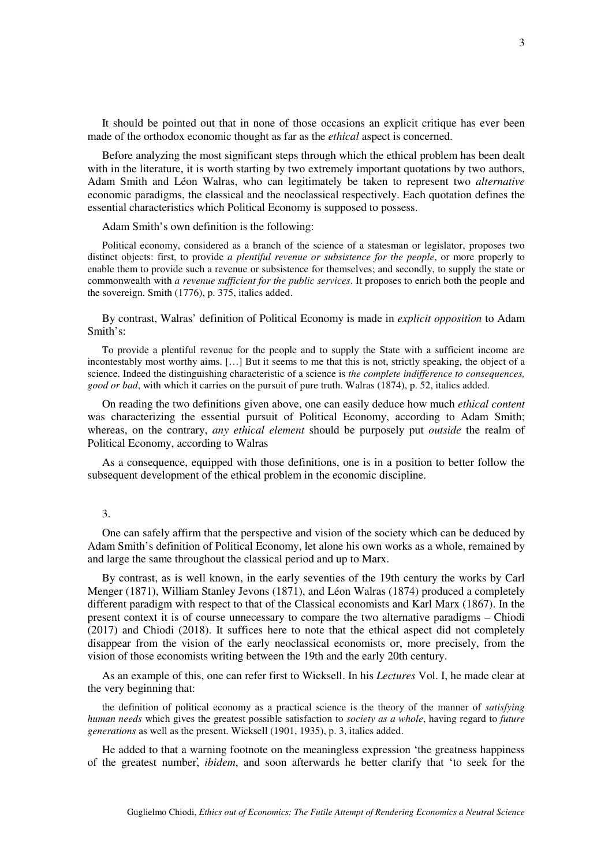It should be pointed out that in none of those occasions an explicit critique has ever been made of the orthodox economic thought as far as the *ethical* aspect is concerned.

Before analyzing the most significant steps through which the ethical problem has been dealt with in the literature, it is worth starting by two extremely important quotations by two authors, Adam Smith and Léon Walras, who can legitimately be taken to represent two *alternative* economic paradigms, the classical and the neoclassical respectively. Each quotation defines the essential characteristics which Political Economy is supposed to possess.

Adam Smith's own definition is the following:

Political economy, considered as a branch of the science of a statesman or legislator, proposes two distinct objects: first, to provide *a plentiful revenue or subsistence for the people*, or more properly to enable them to provide such a revenue or subsistence for themselves; and secondly, to supply the state or commonwealth with *a revenue sufficient for the public services*. It proposes to enrich both the people and the sovereign. Smith (1776), p. 375, italics added.

By contrast, Walras' definition of Political Economy is made in *explicit opposition* to Adam Smith's:

To provide a plentiful revenue for the people and to supply the State with a sufficient income are incontestably most worthy aims. […] But it seems to me that this is not, strictly speaking, the object of a science. Indeed the distinguishing characteristic of a science is *the complete indifference to consequences, good or bad*, with which it carries on the pursuit of pure truth. Walras (1874), p. 52, italics added.

On reading the two definitions given above, one can easily deduce how much *ethical content* was characterizing the essential pursuit of Political Economy, according to Adam Smith; whereas, on the contrary, *any ethical element* should be purposely put *outside* the realm of Political Economy, according to Walras

As a consequence, equipped with those definitions, one is in a position to better follow the subsequent development of the ethical problem in the economic discipline.

#### 3.

One can safely affirm that the perspective and vision of the society which can be deduced by Adam Smith's definition of Political Economy, let alone his own works as a whole, remained by and large the same throughout the classical period and up to Marx.

By contrast, as is well known, in the early seventies of the 19th century the works by Carl Menger (1871), William Stanley Jevons (1871), and Léon Walras (1874) produced a completely different paradigm with respect to that of the Classical economists and Karl Marx (1867). In the present context it is of course unnecessary to compare the two alternative paradigms – Chiodi (2017) and Chiodi (2018). It suffices here to note that the ethical aspect did not completely disappear from the vision of the early neoclassical economists or, more precisely, from the vision of those economists writing between the 19th and the early 20th century.

As an example of this, one can refer first to Wicksell. In his *Lectures* Vol. I, he made clear at the very beginning that:

the definition of political economy as a practical science is the theory of the manner of *satisfying human needs* which gives the greatest possible satisfaction to *society as a whole*, having regard to *future generations* as well as the present. Wicksell (1901, 1935), p. 3, italics added.

He added to that a warning footnote on the meaningless expression ʻthe greatness happiness of the greatest number, ̕ *ibidem*, and soon afterwards he better clarify that ʻto seek for the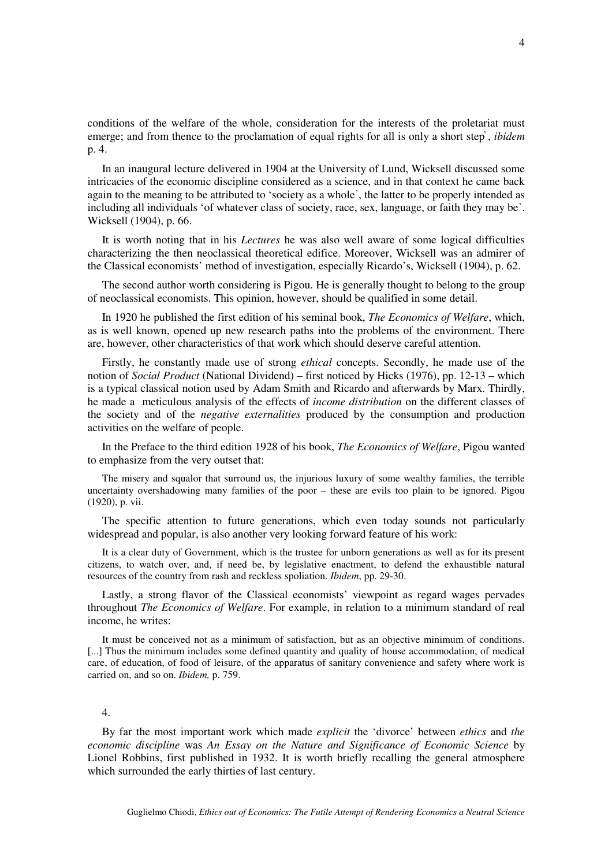conditions of the welfare of the whole, consideration for the interests of the proletariat must emerge; and from thence to the proclamation of equal rights for all is only a short step̕ , *ibidem* p. 4.

In an inaugural lecture delivered in 1904 at the University of Lund, Wicksell discussed some intricacies of the economic discipline considered as a science, and in that context he came back again to the meaning to be attributed to ʻsociety as a whole᾽, the latter to be properly intended as including all individuals ʻof whatever class of society, race, sex, language, or faith they may be᾽. Wicksell (1904), p. 66.

It is worth noting that in his *Lectures* he was also well aware of some logical difficulties characterizing the then neoclassical theoretical edifice. Moreover, Wicksell was an admirer of the Classical economists' method of investigation, especially Ricardo's, Wicksell (1904), p. 62.

The second author worth considering is Pigou. He is generally thought to belong to the group of neoclassical economists. This opinion, however, should be qualified in some detail.

In 1920 he published the first edition of his seminal book, *The Economics of Welfare*, which, as is well known, opened up new research paths into the problems of the environment. There are, however, other characteristics of that work which should deserve careful attention.

Firstly, he constantly made use of strong *ethical* concepts. Secondly, he made use of the notion of *Social Product* (National Dividend) – first noticed by Hicks (1976), pp. 12-13 – which is a typical classical notion used by Adam Smith and Ricardo and afterwards by Marx. Thirdly, he made a meticulous analysis of the effects of *income distribution* on the different classes of the society and of the *negative externalities* produced by the consumption and production activities on the welfare of people.

In the Preface to the third edition 1928 of his book, *The Economics of Welfare*, Pigou wanted to emphasize from the very outset that:

The misery and squalor that surround us, the injurious luxury of some wealthy families, the terrible uncertainty overshadowing many families of the poor – these are evils too plain to be ignored. Pigou (1920), p. vii.

The specific attention to future generations, which even today sounds not particularly widespread and popular, is also another very looking forward feature of his work:

It is a clear duty of Government, which is the trustee for unborn generations as well as for its present citizens, to watch over, and, if need be, by legislative enactment, to defend the exhaustible natural resources of the country from rash and reckless spoliation. *Ibidem*, pp. 29-30.

Lastly, a strong flavor of the Classical economists' viewpoint as regard wages pervades throughout *The Economics of Welfare*. For example, in relation to a minimum standard of real income, he writes:

It must be conceived not as a minimum of satisfaction, but as an objective minimum of conditions. [...] Thus the minimum includes some defined quantity and quality of house accommodation, of medical care, of education, of food of leisure, of the apparatus of sanitary convenience and safety where work is carried on, and so on. *Ibidem,* p. 759.

#### 4.

By far the most important work which made *explicit* the 'divorce' between *ethics* and *the economic discipline* was *An Essay on the Nature and Significance of Economic Science* by Lionel Robbins, first published in 1932. It is worth briefly recalling the general atmosphere which surrounded the early thirties of last century.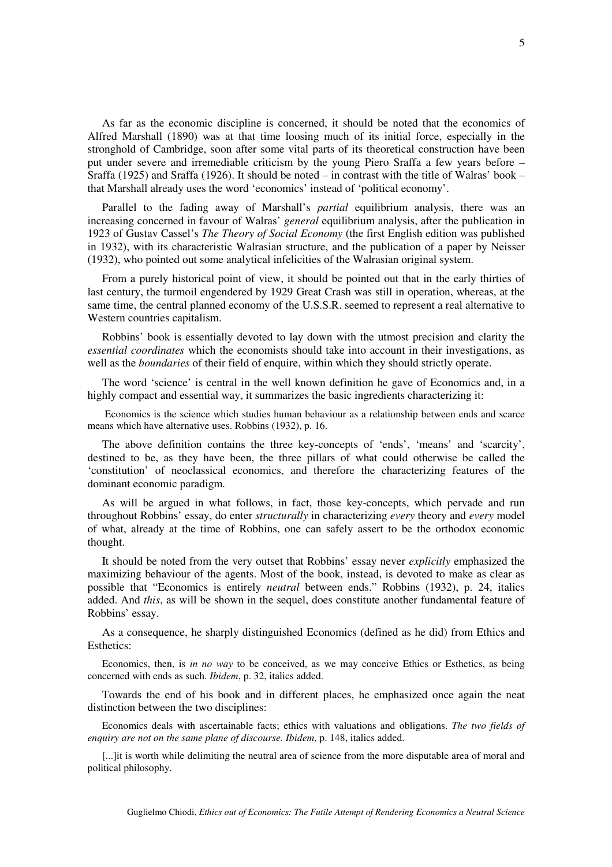As far as the economic discipline is concerned, it should be noted that the economics of Alfred Marshall (1890) was at that time loosing much of its initial force, especially in the stronghold of Cambridge, soon after some vital parts of its theoretical construction have been put under severe and irremediable criticism by the young Piero Sraffa a few years before – Sraffa (1925) and Sraffa (1926). It should be noted – in contrast with the title of Walras' book – that Marshall already uses the word 'economics' instead of 'political economy'.

Parallel to the fading away of Marshall's *partial* equilibrium analysis, there was an increasing concerned in favour of Walras' *general* equilibrium analysis, after the publication in 1923 of Gustav Cassel's *The Theory of Social Economy* (the first English edition was published in 1932), with its characteristic Walrasian structure, and the publication of a paper by Neisser (1932), who pointed out some analytical infelicities of the Walrasian original system.

From a purely historical point of view, it should be pointed out that in the early thirties of last century, the turmoil engendered by 1929 Great Crash was still in operation, whereas, at the same time, the central planned economy of the U.S.S.R. seemed to represent a real alternative to Western countries capitalism.

Robbins' book is essentially devoted to lay down with the utmost precision and clarity the *essential coordinates* which the economists should take into account in their investigations, as well as the *boundaries* of their field of enquire, within which they should strictly operate.

The word 'science' is central in the well known definition he gave of Economics and, in a highly compact and essential way, it summarizes the basic ingredients characterizing it:

Economics is the science which studies human behaviour as a relationship between ends and scarce means which have alternative uses. Robbins (1932), p. 16.

The above definition contains the three key-concepts of 'ends', 'means' and 'scarcity', destined to be, as they have been, the three pillars of what could otherwise be called the 'constitution' of neoclassical economics, and therefore the characterizing features of the dominant economic paradigm.

As will be argued in what follows, in fact, those key-concepts, which pervade and run throughout Robbins' essay, do enter *structurally* in characterizing *every* theory and *every* model of what, already at the time of Robbins, one can safely assert to be the orthodox economic thought.

It should be noted from the very outset that Robbins' essay never *explicitly* emphasized the maximizing behaviour of the agents. Most of the book, instead, is devoted to make as clear as possible that "Economics is entirely *neutral* between ends." Robbins (1932), p. 24, italics added. And *this*, as will be shown in the sequel, does constitute another fundamental feature of Robbins' essay.

As a consequence, he sharply distinguished Economics (defined as he did) from Ethics and Esthetics:

Economics, then, is *in no way* to be conceived, as we may conceive Ethics or Esthetics, as being concerned with ends as such. *Ibidem*, p. 32, italics added.

Towards the end of his book and in different places, he emphasized once again the neat distinction between the two disciplines:

Economics deals with ascertainable facts; ethics with valuations and obligations. *The two fields of enquiry are not on the same plane of discourse*. *Ibidem*, p. 148, italics added.

[...]it is worth while delimiting the neutral area of science from the more disputable area of moral and political philosophy.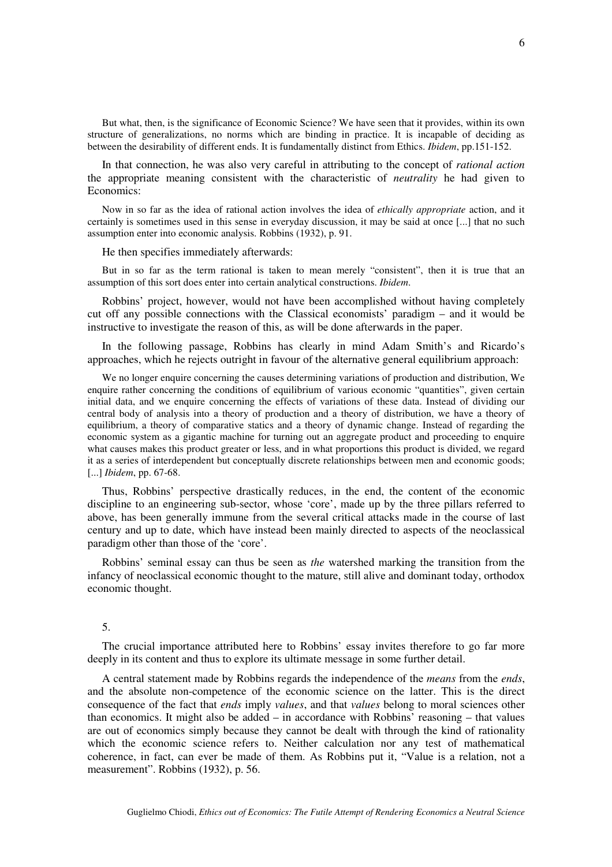But what, then, is the significance of Economic Science? We have seen that it provides, within its own structure of generalizations, no norms which are binding in practice. It is incapable of deciding as between the desirability of different ends. It is fundamentally distinct from Ethics. *Ibidem*, pp.151-152.

In that connection, he was also very careful in attributing to the concept of *rational action* the appropriate meaning consistent with the characteristic of *neutrality* he had given to Economics:

Now in so far as the idea of rational action involves the idea of *ethically appropriate* action, and it certainly is sometimes used in this sense in everyday discussion, it may be said at once [...] that no such assumption enter into economic analysis. Robbins (1932), p. 91.

He then specifies immediately afterwards:

But in so far as the term rational is taken to mean merely "consistent", then it is true that an assumption of this sort does enter into certain analytical constructions. *Ibidem*.

Robbins' project, however, would not have been accomplished without having completely cut off any possible connections with the Classical economists' paradigm – and it would be instructive to investigate the reason of this, as will be done afterwards in the paper.

In the following passage, Robbins has clearly in mind Adam Smith's and Ricardo's approaches, which he rejects outright in favour of the alternative general equilibrium approach:

We no longer enquire concerning the causes determining variations of production and distribution, We enquire rather concerning the conditions of equilibrium of various economic "quantities", given certain initial data, and we enquire concerning the effects of variations of these data. Instead of dividing our central body of analysis into a theory of production and a theory of distribution, we have a theory of equilibrium, a theory of comparative statics and a theory of dynamic change. Instead of regarding the economic system as a gigantic machine for turning out an aggregate product and proceeding to enquire what causes makes this product greater or less, and in what proportions this product is divided, we regard it as a series of interdependent but conceptually discrete relationships between men and economic goods; [...] *Ibidem*, pp. 67-68.

Thus, Robbins' perspective drastically reduces, in the end, the content of the economic discipline to an engineering sub-sector, whose 'core', made up by the three pillars referred to above, has been generally immune from the several critical attacks made in the course of last century and up to date, which have instead been mainly directed to aspects of the neoclassical paradigm other than those of the 'core'.

Robbins' seminal essay can thus be seen as *the* watershed marking the transition from the infancy of neoclassical economic thought to the mature, still alive and dominant today, orthodox economic thought.

#### 5.

The crucial importance attributed here to Robbins' essay invites therefore to go far more deeply in its content and thus to explore its ultimate message in some further detail.

A central statement made by Robbins regards the independence of the *means* from the *ends*, and the absolute non-competence of the economic science on the latter. This is the direct consequence of the fact that *ends* imply *values*, and that *values* belong to moral sciences other than economics. It might also be added – in accordance with Robbins' reasoning – that values are out of economics simply because they cannot be dealt with through the kind of rationality which the economic science refers to. Neither calculation nor any test of mathematical coherence, in fact, can ever be made of them. As Robbins put it, "Value is a relation, not a measurement". Robbins (1932), p. 56.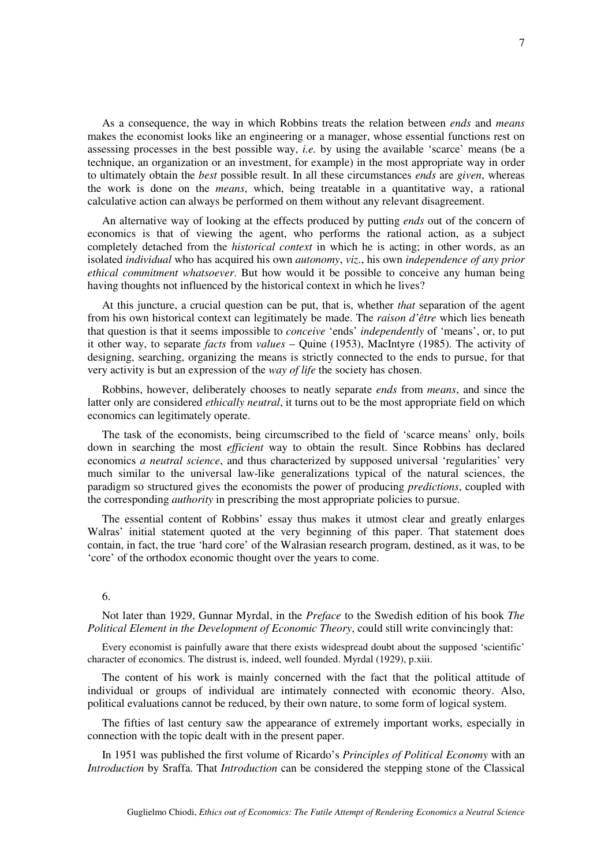As a consequence, the way in which Robbins treats the relation between *ends* and *means* makes the economist looks like an engineering or a manager, whose essential functions rest on assessing processes in the best possible way, *i.e.* by using the available 'scarce' means (be a technique, an organization or an investment, for example) in the most appropriate way in order to ultimately obtain the *best* possible result. In all these circumstances *ends* are *given*, whereas the work is done on the *means*, which, being treatable in a quantitative way, a rational calculative action can always be performed on them without any relevant disagreement.

An alternative way of looking at the effects produced by putting *ends* out of the concern of economics is that of viewing the agent, who performs the rational action, as a subject completely detached from the *historical context* in which he is acting; in other words, as an isolated *individual* who has acquired his own *autonomy*, *viz*., his own *independence of any prior ethical commitment whatsoever*. But how would it be possible to conceive any human being having thoughts not influenced by the historical context in which he lives?

At this juncture, a crucial question can be put, that is, whether *that* separation of the agent from his own historical context can legitimately be made. The *raison d'être* which lies beneath that question is that it seems impossible to *conceive* 'ends' *independently* of 'means', or, to put it other way, to separate *facts* from *values* – Quine (1953), MacIntyre (1985). The activity of designing, searching, organizing the means is strictly connected to the ends to pursue, for that very activity is but an expression of the *way of life* the society has chosen.

Robbins, however, deliberately chooses to neatly separate *ends* from *means*, and since the latter only are considered *ethically neutral*, it turns out to be the most appropriate field on which economics can legitimately operate.

The task of the economists, being circumscribed to the field of 'scarce means' only, boils down in searching the most *efficient* way to obtain the result. Since Robbins has declared economics *a neutral science*, and thus characterized by supposed universal 'regularities' very much similar to the universal law-like generalizations typical of the natural sciences, the paradigm so structured gives the economists the power of producing *predictions*, coupled with the corresponding *authority* in prescribing the most appropriate policies to pursue.

The essential content of Robbins' essay thus makes it utmost clear and greatly enlarges Walras' initial statement quoted at the very beginning of this paper. That statement does contain, in fact, the true 'hard core' of the Walrasian research program, destined, as it was, to be 'core' of the orthodox economic thought over the years to come.

#### 6.

Not later than 1929, Gunnar Myrdal, in the *Preface* to the Swedish edition of his book *The Political Element in the Development of Economic Theory*, could still write convincingly that:

Every economist is painfully aware that there exists widespread doubt about the supposed 'scientific' character of economics. The distrust is, indeed, well founded. Myrdal (1929), p.xiii.

The content of his work is mainly concerned with the fact that the political attitude of individual or groups of individual are intimately connected with economic theory. Also, political evaluations cannot be reduced, by their own nature, to some form of logical system.

The fifties of last century saw the appearance of extremely important works, especially in connection with the topic dealt with in the present paper.

In 1951 was published the first volume of Ricardo's *Principles of Political Economy* with an *Introduction* by Sraffa. That *Introduction* can be considered the stepping stone of the Classical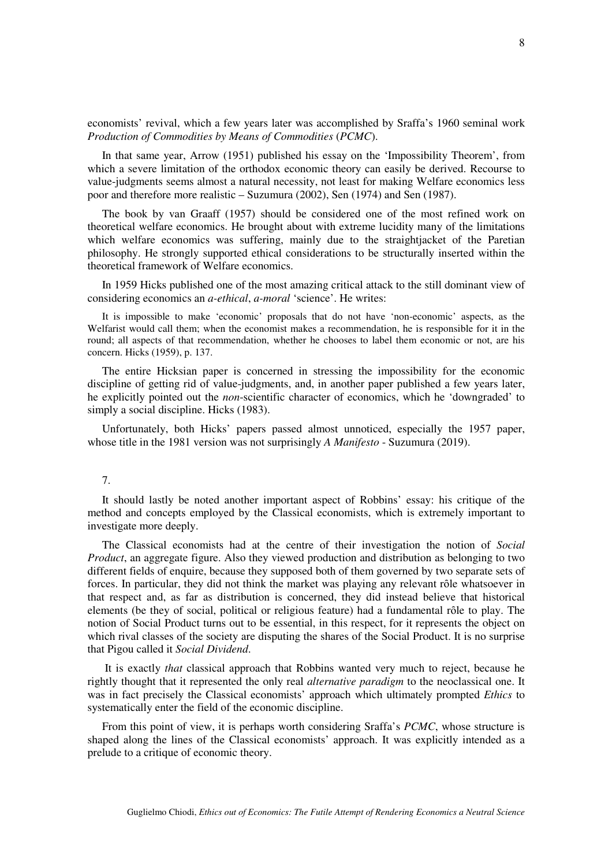economists' revival, which a few years later was accomplished by Sraffa's 1960 seminal work *Production of Commodities by Means of Commodities* (*PCMC*).

In that same year, Arrow (1951) published his essay on the 'Impossibility Theorem', from which a severe limitation of the orthodox economic theory can easily be derived. Recourse to value-judgments seems almost a natural necessity, not least for making Welfare economics less poor and therefore more realistic – Suzumura (2002), Sen (1974) and Sen (1987).

The book by van Graaff (1957) should be considered one of the most refined work on theoretical welfare economics. He brought about with extreme lucidity many of the limitations which welfare economics was suffering, mainly due to the straightjacket of the Paretian philosophy. He strongly supported ethical considerations to be structurally inserted within the theoretical framework of Welfare economics.

In 1959 Hicks published one of the most amazing critical attack to the still dominant view of considering economics an *a-ethical*, *a-moral* 'science'. He writes:

It is impossible to make 'economic' proposals that do not have 'non-economic' aspects, as the Welfarist would call them; when the economist makes a recommendation, he is responsible for it in the round; all aspects of that recommendation, whether he chooses to label them economic or not, are his concern. Hicks (1959), p. 137.

The entire Hicksian paper is concerned in stressing the impossibility for the economic discipline of getting rid of value-judgments, and, in another paper published a few years later, he explicitly pointed out the *non*-scientific character of economics, which he 'downgraded' to simply a social discipline. Hicks (1983).

Unfortunately, both Hicks' papers passed almost unnoticed, especially the 1957 paper, whose title in the 1981 version was not surprisingly *A Manifesto* - Suzumura (2019).

#### 7.

It should lastly be noted another important aspect of Robbins' essay: his critique of the method and concepts employed by the Classical economists, which is extremely important to investigate more deeply.

The Classical economists had at the centre of their investigation the notion of *Social Product*, an aggregate figure. Also they viewed production and distribution as belonging to two different fields of enquire, because they supposed both of them governed by two separate sets of forces. In particular, they did not think the market was playing any relevant rôle whatsoever in that respect and, as far as distribution is concerned, they did instead believe that historical elements (be they of social, political or religious feature) had a fundamental rôle to play. The notion of Social Product turns out to be essential, in this respect, for it represents the object on which rival classes of the society are disputing the shares of the Social Product. It is no surprise that Pigou called it *Social Dividend*.

 It is exactly *that* classical approach that Robbins wanted very much to reject, because he rightly thought that it represented the only real *alternative paradigm* to the neoclassical one. It was in fact precisely the Classical economists' approach which ultimately prompted *Ethics* to systematically enter the field of the economic discipline.

From this point of view, it is perhaps worth considering Sraffa's *PCMC*, whose structure is shaped along the lines of the Classical economists' approach. It was explicitly intended as a prelude to a critique of economic theory.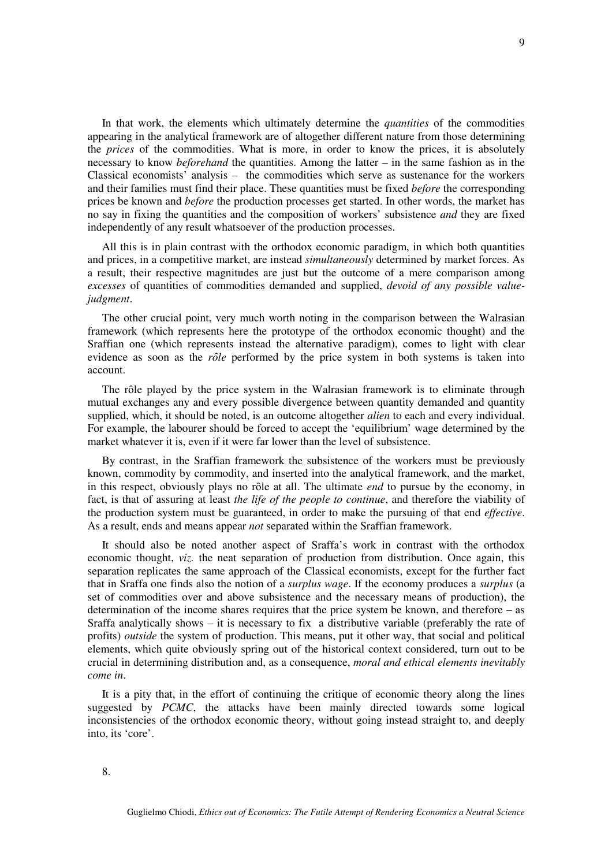In that work, the elements which ultimately determine the *quantities* of the commodities appearing in the analytical framework are of altogether different nature from those determining the *prices* of the commodities. What is more, in order to know the prices, it is absolutely necessary to know *beforehand* the quantities. Among the latter – in the same fashion as in the Classical economists' analysis – the commodities which serve as sustenance for the workers and their families must find their place. These quantities must be fixed *before* the corresponding prices be known and *before* the production processes get started. In other words, the market has no say in fixing the quantities and the composition of workers' subsistence *and* they are fixed independently of any result whatsoever of the production processes.

All this is in plain contrast with the orthodox economic paradigm, in which both quantities and prices, in a competitive market, are instead *simultaneously* determined by market forces. As a result, their respective magnitudes are just but the outcome of a mere comparison among *excesses* of quantities of commodities demanded and supplied, *devoid of any possible valuejudgment*.

The other crucial point, very much worth noting in the comparison between the Walrasian framework (which represents here the prototype of the orthodox economic thought) and the Sraffian one (which represents instead the alternative paradigm), comes to light with clear evidence as soon as the *rôle* performed by the price system in both systems is taken into account.

The rôle played by the price system in the Walrasian framework is to eliminate through mutual exchanges any and every possible divergence between quantity demanded and quantity supplied, which, it should be noted, is an outcome altogether *alien* to each and every individual. For example, the labourer should be forced to accept the 'equilibrium' wage determined by the market whatever it is, even if it were far lower than the level of subsistence.

By contrast, in the Sraffian framework the subsistence of the workers must be previously known, commodity by commodity, and inserted into the analytical framework, and the market, in this respect, obviously plays no rôle at all. The ultimate *end* to pursue by the economy, in fact, is that of assuring at least *the life of the people to continue*, and therefore the viability of the production system must be guaranteed, in order to make the pursuing of that end *effective*. As a result, ends and means appear *not* separated within the Sraffian framework.

It should also be noted another aspect of Sraffa's work in contrast with the orthodox economic thought, *viz.* the neat separation of production from distribution. Once again, this separation replicates the same approach of the Classical economists, except for the further fact that in Sraffa one finds also the notion of a *surplus wage*. If the economy produces a *surplus* (a set of commodities over and above subsistence and the necessary means of production), the determination of the income shares requires that the price system be known, and therefore – as Sraffa analytically shows – it is necessary to fix a distributive variable (preferably the rate of profits) *outside* the system of production. This means, put it other way, that social and political elements, which quite obviously spring out of the historical context considered, turn out to be crucial in determining distribution and, as a consequence, *moral and ethical elements inevitably come in*.

It is a pity that, in the effort of continuing the critique of economic theory along the lines suggested by *PCMC*, the attacks have been mainly directed towards some logical inconsistencies of the orthodox economic theory, without going instead straight to, and deeply into, its 'core'.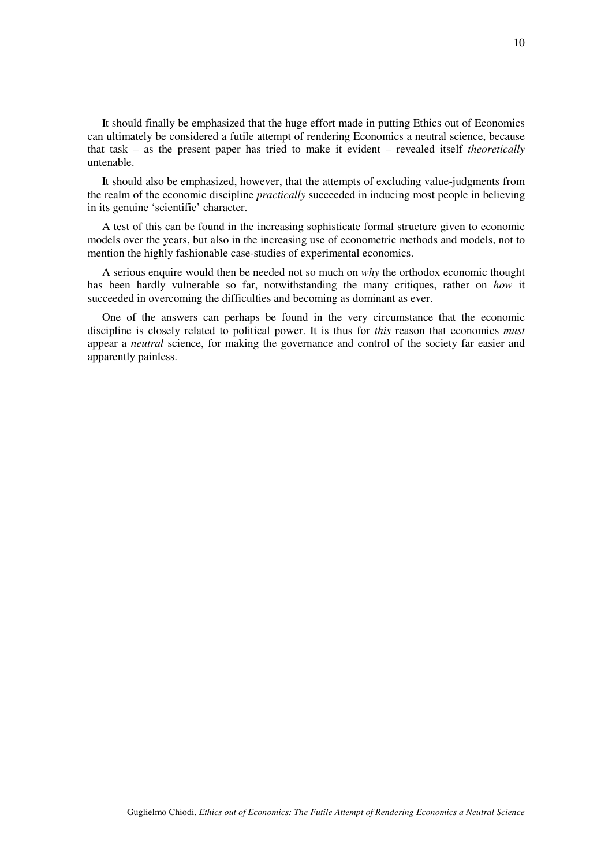It should finally be emphasized that the huge effort made in putting Ethics out of Economics can ultimately be considered a futile attempt of rendering Economics a neutral science, because that task – as the present paper has tried to make it evident – revealed itself *theoretically* untenable.

It should also be emphasized, however, that the attempts of excluding value-judgments from the realm of the economic discipline *practically* succeeded in inducing most people in believing in its genuine 'scientific' character.

A test of this can be found in the increasing sophisticate formal structure given to economic models over the years, but also in the increasing use of econometric methods and models, not to mention the highly fashionable case-studies of experimental economics.

A serious enquire would then be needed not so much on *why* the orthodox economic thought has been hardly vulnerable so far, notwithstanding the many critiques, rather on *how* it succeeded in overcoming the difficulties and becoming as dominant as ever.

One of the answers can perhaps be found in the very circumstance that the economic discipline is closely related to political power. It is thus for *this* reason that economics *must* appear a *neutral* science, for making the governance and control of the society far easier and apparently painless.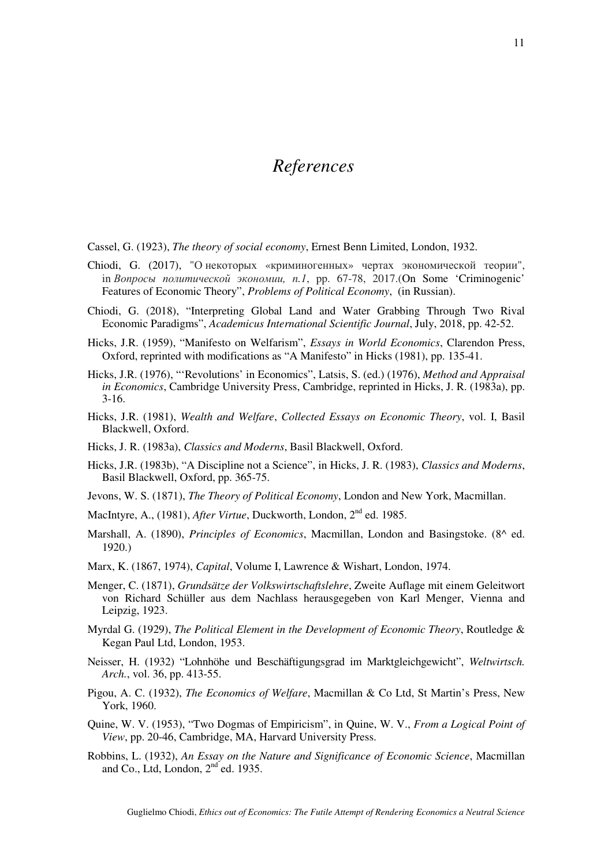## *References*

- Cassel, G. (1923), *The theory of social economy*, Ernest Benn Limited, London, 1932.
- Chiodi, G. (2017), "О некоторых «криминогенных» чертах экономической теории", in *Вопросы политической экономии, n.1*, pp. 67-78, 2017.(On Some 'Criminogenic' Features of Economic Theory", *Problems of Political Economy*, (in Russian).
- Chiodi, G. (2018), "Interpreting Global Land and Water Grabbing Through Two Rival Economic Paradigms", *Academicus International Scientific Journal*, July, 2018, pp. 42-52.
- Hicks, J.R. (1959), "Manifesto on Welfarism", *Essays in World Economics*, Clarendon Press, Oxford, reprinted with modifications as "A Manifesto" in Hicks (1981), pp. 135-41.
- Hicks, J.R. (1976), "'Revolutions' in Economics", Latsis, S. (ed.) (1976), *Method and Appraisal in Economics*, Cambridge University Press, Cambridge, reprinted in Hicks, J. R. (1983a), pp. 3-16.
- Hicks, J.R. (1981), *Wealth and Welfare*, *Collected Essays on Economic Theory*, vol. I, Basil Blackwell, Oxford.
- Hicks, J. R. (1983a), *Classics and Moderns*, Basil Blackwell, Oxford.
- Hicks, J.R. (1983b), "A Discipline not a Science", in Hicks, J. R. (1983), *Classics and Moderns*, Basil Blackwell, Oxford, pp. 365-75.
- Jevons, W. S. (1871), *The Theory of Political Economy*, London and New York, Macmillan.
- MacIntyre, A., (1981), *After Virtue*, Duckworth, London, 2<sup>nd</sup> ed. 1985.
- Marshall, A. (1890), *Principles of Economics*, Macmillan, London and Basingstoke. (8^ ed. 1920.)
- Marx, K. (1867, 1974), *Capital*, Volume I, Lawrence & Wishart, London, 1974.
- Menger, C. (1871), *Grundsätze der Volkswirtschaftslehre*, Zweite Auflage mit einem Geleitwort von Richard Schüller aus dem Nachlass herausgegeben von Karl Menger, Vienna and Leipzig, 1923.
- Myrdal G. (1929), *The Political Element in the Development of Economic Theory*, Routledge & Kegan Paul Ltd, London, 1953.
- Neisser, H. (1932) "Lohnhöhe und Beschäftigungsgrad im Marktgleichgewicht", *Weltwirtsch. Arch.*, vol. 36, pp. 413-55.
- Pigou, A. C. (1932), *The Economics of Welfare*, Macmillan & Co Ltd, St Martin's Press, New York, 1960.
- Quine, W. V. (1953), "Two Dogmas of Empiricism", in Quine, W. V., *From a Logical Point of View*, pp. 20-46, Cambridge, MA, Harvard University Press.
- Robbins, L. (1932), *An Essay on the Nature and Significance of Economic Science*, Macmillan and Co., Ltd, London,  $2<sup>nd</sup>$  ed. 1935.